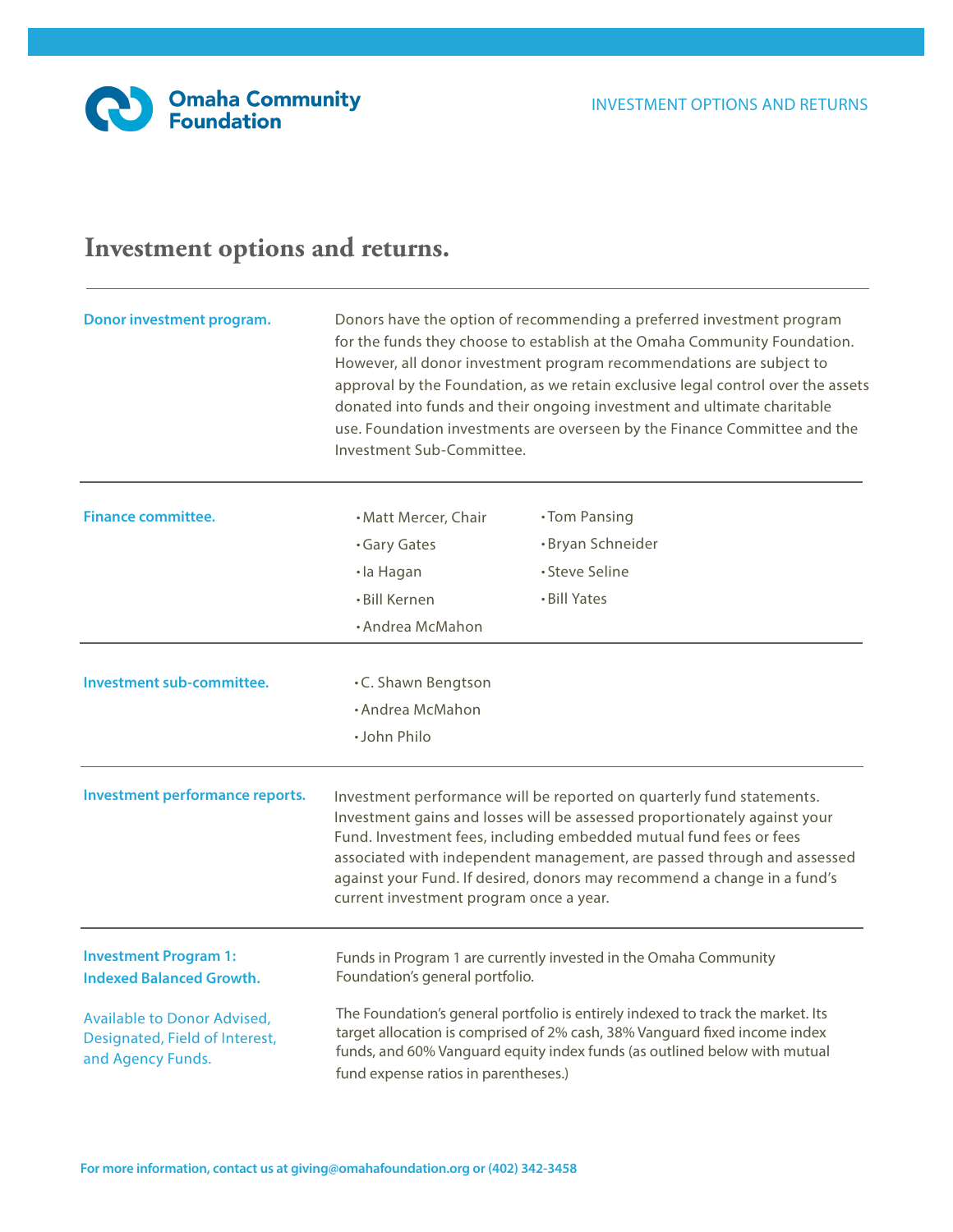## **Investment options and returns.**

| Donor investment program.                                                                 | Donors have the option of recommending a preferred investment program<br>for the funds they choose to establish at the Omaha Community Foundation.<br>However, all donor investment program recommendations are subject to<br>approval by the Foundation, as we retain exclusive legal control over the assets<br>donated into funds and their ongoing investment and ultimate charitable<br>use. Foundation investments are overseen by the Finance Committee and the<br>Investment Sub-Committee. |                   |  |  |
|-------------------------------------------------------------------------------------------|-----------------------------------------------------------------------------------------------------------------------------------------------------------------------------------------------------------------------------------------------------------------------------------------------------------------------------------------------------------------------------------------------------------------------------------------------------------------------------------------------------|-------------------|--|--|
| <b>Finance committee.</b>                                                                 | • Matt Mercer, Chair                                                                                                                                                                                                                                                                                                                                                                                                                                                                                | •Tom Pansing      |  |  |
|                                                                                           | <b>Gary Gates</b>                                                                                                                                                                                                                                                                                                                                                                                                                                                                                   | · Bryan Schneider |  |  |
|                                                                                           | ·la Hagan                                                                                                                                                                                                                                                                                                                                                                                                                                                                                           | · Steve Seline    |  |  |
|                                                                                           | • Bill Kernen                                                                                                                                                                                                                                                                                                                                                                                                                                                                                       | • Bill Yates      |  |  |
|                                                                                           | • Andrea McMahon                                                                                                                                                                                                                                                                                                                                                                                                                                                                                    |                   |  |  |
| Investment sub-committee.                                                                 | .C. Shawn Bengtson                                                                                                                                                                                                                                                                                                                                                                                                                                                                                  |                   |  |  |
|                                                                                           | • Andrea McMahon                                                                                                                                                                                                                                                                                                                                                                                                                                                                                    |                   |  |  |
|                                                                                           | · John Philo                                                                                                                                                                                                                                                                                                                                                                                                                                                                                        |                   |  |  |
| Investment performance reports.                                                           | Investment performance will be reported on quarterly fund statements.<br>Investment gains and losses will be assessed proportionately against your<br>Fund. Investment fees, including embedded mutual fund fees or fees<br>associated with independent management, are passed through and assessed<br>against your Fund. If desired, donors may recommend a change in a fund's<br>current investment program once a year.                                                                          |                   |  |  |
| <b>Investment Program 1:</b><br><b>Indexed Balanced Growth.</b>                           | Funds in Program 1 are currently invested in the Omaha Community<br>Foundation's general portfolio.                                                                                                                                                                                                                                                                                                                                                                                                 |                   |  |  |
| <b>Available to Donor Advised,</b><br>Designated, Field of Interest,<br>and Agency Funds. | The Foundation's general portfolio is entirely indexed to track the market. Its<br>target allocation is comprised of 2% cash, 38% Vanguard fixed income index<br>funds, and 60% Vanguard equity index funds (as outlined below with mutual<br>fund expense ratios in parentheses.)                                                                                                                                                                                                                  |                   |  |  |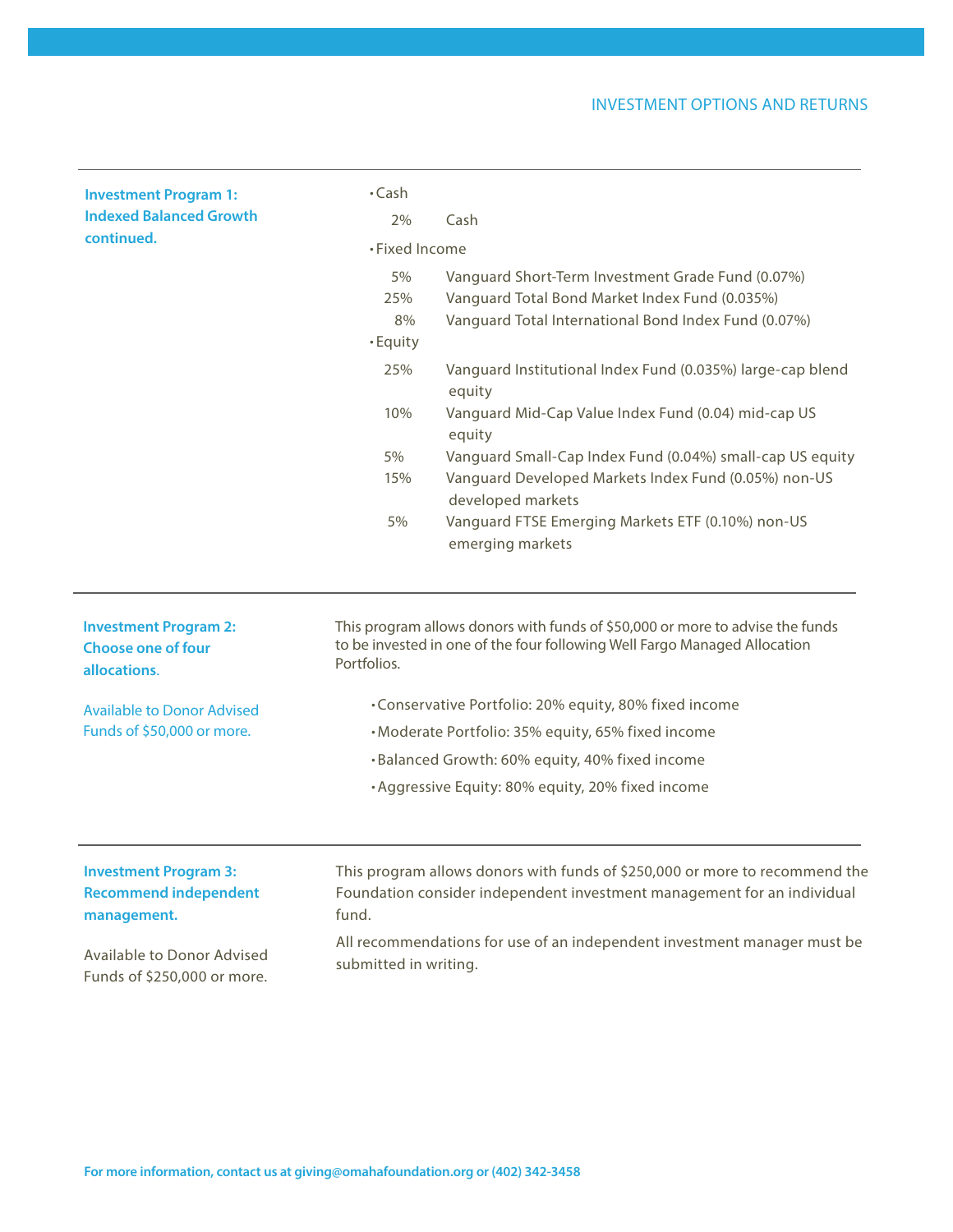## INVESTMENT OPTIONS AND RETURNS

| <b>Investment Program 1:</b><br><b>Indexed Balanced Growth</b>              | $\cdot$ Cash<br>2%                                                                                                                                                        | Cash                                                                                                                                                        |  |  |
|-----------------------------------------------------------------------------|---------------------------------------------------------------------------------------------------------------------------------------------------------------------------|-------------------------------------------------------------------------------------------------------------------------------------------------------------|--|--|
| continued.                                                                  | • Fixed Income                                                                                                                                                            |                                                                                                                                                             |  |  |
|                                                                             | 5%<br>25%<br>8%<br>· Equity                                                                                                                                               | Vanguard Short-Term Investment Grade Fund (0.07%)<br>Vanguard Total Bond Market Index Fund (0.035%)<br>Vanguard Total International Bond Index Fund (0.07%) |  |  |
|                                                                             | 25%                                                                                                                                                                       | Vanguard Institutional Index Fund (0.035%) large-cap blend<br>equity                                                                                        |  |  |
|                                                                             | 10%                                                                                                                                                                       | Vanguard Mid-Cap Value Index Fund (0.04) mid-cap US<br>equity                                                                                               |  |  |
|                                                                             | 5%<br>15%                                                                                                                                                                 | Vanguard Small-Cap Index Fund (0.04%) small-cap US equity<br>Vanguard Developed Markets Index Fund (0.05%) non-US<br>developed markets                      |  |  |
|                                                                             | 5%                                                                                                                                                                        | Vanguard FTSE Emerging Markets ETF (0.10%) non-US<br>emerging markets                                                                                       |  |  |
| <b>Investment Program 2:</b><br><b>Choose one of four</b><br>allocations.   | This program allows donors with funds of \$50,000 or more to advise the funds<br>to be invested in one of the four following Well Fargo Managed Allocation<br>Portfolios. |                                                                                                                                                             |  |  |
| <b>Available to Donor Advised</b>                                           | •Conservative Portfolio: 20% equity, 80% fixed income                                                                                                                     |                                                                                                                                                             |  |  |
| Funds of \$50,000 or more.                                                  | • Moderate Portfolio: 35% equity, 65% fixed income                                                                                                                        |                                                                                                                                                             |  |  |
|                                                                             |                                                                                                                                                                           | · Balanced Growth: 60% equity, 40% fixed income                                                                                                             |  |  |
|                                                                             |                                                                                                                                                                           | • Aggressive Equity: 80% equity, 20% fixed income                                                                                                           |  |  |
| <b>Investment Program 3:</b><br><b>Recommend independent</b><br>management. | fund.                                                                                                                                                                     | This program allows donors with funds of \$250,000 or more to recommend the<br>Foundation consider independent investment management for an individual      |  |  |
| Available to Donor Advised<br>Funds of \$250,000 or more.                   | submitted in writing.                                                                                                                                                     | All recommendations for use of an independent investment manager must be                                                                                    |  |  |